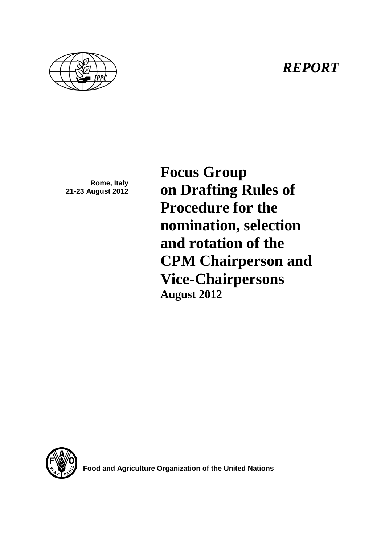## *REPORT*



**Rome, Italy 21-23 August 2012** **Focus Group on Drafting Rules of Procedure for the nomination, selection and rotation of the CPM Chairperson and Vice-Chairpersons August 2012**



**Food and Agriculture Organization of the United Nations**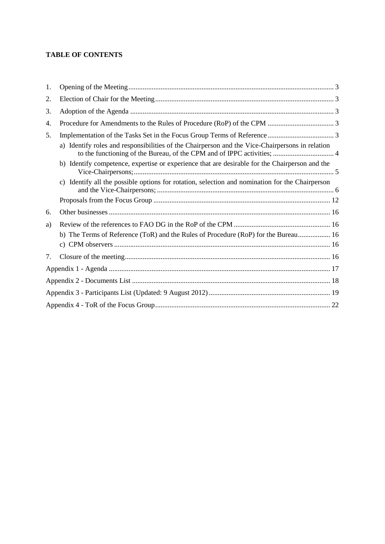## **TABLE OF CONTENTS**

| 1. |                                                                                                    |
|----|----------------------------------------------------------------------------------------------------|
| 2. |                                                                                                    |
| 3. |                                                                                                    |
| 4. |                                                                                                    |
| 5. |                                                                                                    |
|    | a) Identify roles and responsibilities of the Chairperson and the Vice-Chairpersons in relation    |
|    | b) Identify competence, expertise or experience that are desirable for the Chairperson and the     |
|    | Identify all the possible options for rotation, selection and nomination for the Chairperson<br>c) |
|    |                                                                                                    |
| 6. |                                                                                                    |
| a) |                                                                                                    |
|    | b) The Terms of Reference (ToR) and the Rules of Procedure (RoP) for the Bureau 16                 |
|    |                                                                                                    |
| 7. |                                                                                                    |
|    |                                                                                                    |
|    |                                                                                                    |
|    |                                                                                                    |
|    |                                                                                                    |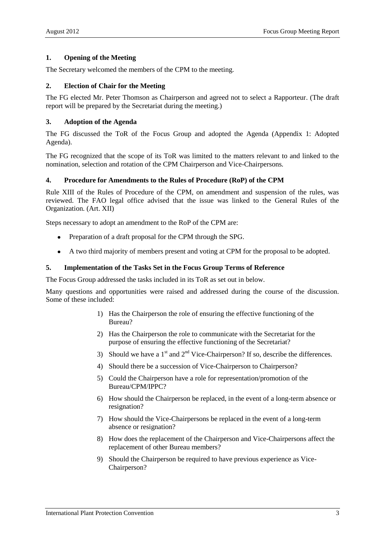#### <span id="page-2-0"></span>**1. Opening of the Meeting**

The Secretary welcomed the members of the CPM to the meeting.

#### <span id="page-2-1"></span>**2. Election of Chair for the Meeting**

The FG elected Mr. Peter Thomson as Chairperson and agreed not to select a Rapporteur. (The draft report will be prepared by the Secretariat during the meeting.)

#### <span id="page-2-2"></span>**3. Adoption of the Agenda**

The FG discussed the ToR of the Focus Group and adopted the Agenda (Appendix 1: Adopted Agenda).

The FG recognized that the scope of its ToR was limited to the matters relevant to and linked to the nomination, selection and rotation of the CPM Chairperson and Vice-Chairpersons.

#### <span id="page-2-3"></span>**4. Procedure for Amendments to the Rules of Procedure (RoP) of the CPM**

Rule XIII of the Rules of Procedure of the CPM, on amendment and suspension of the rules, was reviewed. The FAO legal office advised that the issue was linked to the General Rules of the Organization. (Art. XII)

Steps necessary to adopt an amendment to the RoP of the CPM are:

- Preparation of a draft proposal for the CPM through the SPG.  $\bullet$
- A two third majority of members present and voting at CPM for the proposal to be adopted.  $\bullet$

#### <span id="page-2-4"></span>**5. Implementation of the Tasks Set in the Focus Group Terms of Reference**

The Focus Group addressed the tasks included in its ToR as set out in below.

Many questions and opportunities were raised and addressed during the course of the discussion. Some of these included:

- 1) Has the Chairperson the role of ensuring the effective functioning of the Bureau?
- 2) Has the Chairperson the role to communicate with the Secretariat for the purpose of ensuring the effective functioning of the Secretariat?
- 3) Should we have a  $1<sup>st</sup>$  and  $2<sup>nd</sup>$  Vice-Chairperson? If so, describe the differences.
- 4) Should there be a succession of Vice-Chairperson to Chairperson?
- 5) Could the Chairperson have a role for representation/promotion of the Bureau/CPM/IPPC?
- 6) How should the Chairperson be replaced, in the event of a long-term absence or resignation?
- 7) How should the Vice-Chairpersons be replaced in the event of a long-term absence or resignation?
- 8) How does the replacement of the Chairperson and Vice-Chairpersons affect the replacement of other Bureau members?
- 9) Should the Chairperson be required to have previous experience as Vice-Chairperson?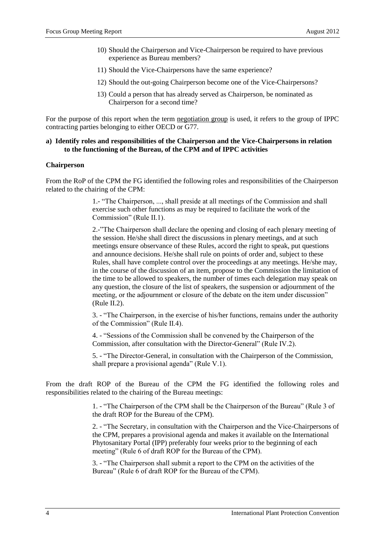- 10) Should the Chairperson and Vice-Chairperson be required to have previous experience as Bureau members?
- 11) Should the Vice-Chairpersons have the same experience?
- 12) Should the out-going Chairperson become one of the Vice-Chairpersons?
- 13) Could a person that has already served as Chairperson, be nominated as Chairperson for a second time?

For the purpose of this report when the term negotiation group is used, it refers to the group of IPPC contracting parties belonging to either OECD or G77.

#### <span id="page-3-0"></span>**a) Identify roles and responsibilities of the Chairperson and the Vice-Chairpersons in relation to the functioning of the Bureau, of the CPM and of IPPC activities**

#### **Chairperson**

From the RoP of the CPM the FG identified the following roles and responsibilities of the Chairperson related to the chairing of the CPM:

> 1.- "The Chairperson, ..., shall preside at all meetings of the Commission and shall exercise such other functions as may be required to facilitate the work of the Commission" (Rule II.1).

2.-"The Chairperson shall declare the opening and closing of each plenary meeting of the session. He/she shall direct the discussions in plenary meetings, and at such meetings ensure observance of these Rules, accord the right to speak, put questions and announce decisions. He/she shall rule on points of order and, subject to these Rules, shall have complete control over the proceedings at any meetings. He/she may, in the course of the discussion of an item, propose to the Commission the limitation of the time to be allowed to speakers, the number of times each delegation may speak on any question, the closure of the list of speakers, the suspension or adjournment of the meeting, or the adjournment or closure of the debate on the item under discussion" (Rule II.2).

3. - "The Chairperson, in the exercise of his/her functions, remains under the authority of the Commission" (Rule II.4).

4. - "Sessions of the Commission shall be convened by the Chairperson of the Commission, after consultation with the Director-General" (Rule IV.2).

5. - "The Director-General, in consultation with the Chairperson of the Commission, shall prepare a provisional agenda" (Rule V.1).

From the draft ROP of the Bureau of the CPM the FG identified the following roles and responsibilities related to the chairing of the Bureau meetings:

> 1. - "The Chairperson of the CPM shall be the Chairperson of the Bureau" (Rule 3 of the draft ROP for the Bureau of the CPM).

2. - "The Secretary, in consultation with the Chairperson and the Vice-Chairpersons of the CPM, prepares a provisional agenda and makes it available on the International Phytosanitary Portal (IPP) preferably four weeks prior to the beginning of each meeting" (Rule 6 of draft ROP for the Bureau of the CPM).

3. - "The Chairperson shall submit a report to the CPM on the activities of the Bureau" (Rule 6 of draft ROP for the Bureau of the CPM).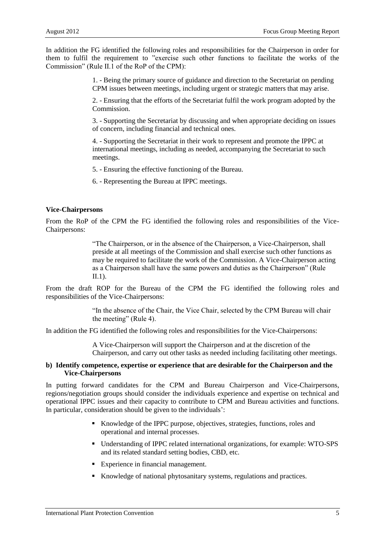In addition the FG identified the following roles and responsibilities for the Chairperson in order for them to fulfil the requirement to "exercise such other functions to facilitate the works of the Commission" (Rule II.1 of the RoP of the CPM):

> 1. - Being the primary source of guidance and direction to the Secretariat on pending CPM issues between meetings, including urgent or strategic matters that may arise.

> 2. - Ensuring that the efforts of the Secretariat fulfil the work program adopted by the Commission.

> 3. - Supporting the Secretariat by discussing and when appropriate deciding on issues of concern, including financial and technical ones.

4. - Supporting the Secretariat in their work to represent and promote the IPPC at international meetings, including as needed, accompanying the Secretariat to such meetings.

5. - Ensuring the effective functioning of the Bureau.

6. - Representing the Bureau at IPPC meetings.

#### **Vice-Chairpersons**

From the RoP of the CPM the FG identified the following roles and responsibilities of the Vice-Chairpersons:

> "The Chairperson, or in the absence of the Chairperson, a Vice-Chairperson, shall preside at all meetings of the Commission and shall exercise such other functions as may be required to facilitate the work of the Commission. A Vice-Chairperson acting as a Chairperson shall have the same powers and duties as the Chairperson" (Rule  $\Pi$ .1).

From the draft ROP for the Bureau of the CPM the FG identified the following roles and responsibilities of the Vice-Chairpersons:

> "In the absence of the Chair, the Vice Chair, selected by the CPM Bureau will chair the meeting" (Rule 4).

In addition the FG identified the following roles and responsibilities for the Vice-Chairpersons:

A Vice-Chairperson will support the Chairperson and at the discretion of the Chairperson, and carry out other tasks as needed including facilitating other meetings.

#### <span id="page-4-0"></span>**b) Identify competence, expertise or experience that are desirable for the Chairperson and the Vice-Chairpersons**

In putting forward candidates for the CPM and Bureau Chairperson and Vice-Chairpersons, regions/negotiation groups should consider the individuals experience and expertise on technical and operational IPPC issues and their capacity to contribute to CPM and Bureau activities and functions. In particular, consideration should be given to the individuals':

- Knowledge of the IPPC purpose, objectives, strategies, functions, roles and operational and internal processes.
- Understanding of IPPC related international organizations, for example: WTO-SPS and its related standard setting bodies, CBD, etc.
- Experience in financial management.
- Knowledge of national phytosanitary systems, regulations and practices.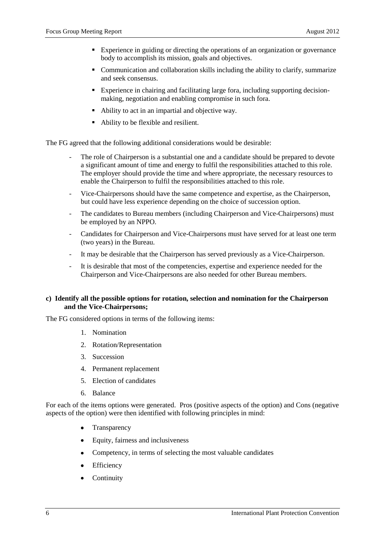- Experience in guiding or directing the operations of an organization or governance body to accomplish its mission, goals and objectives.
- Communication and collaboration skills including the ability to clarify, summarize and seek consensus.
- Experience in chairing and facilitating large fora, including supporting decisionmaking, negotiation and enabling compromise in such fora.
- Ability to act in an impartial and objective way.
- Ability to be flexible and resilient.

The FG agreed that the following additional considerations would be desirable:

- The role of Chairperson is a substantial one and a candidate should be prepared to devote a significant amount of time and energy to fulfil the responsibilities attached to this role. The employer should provide the time and where appropriate, the necessary resources to enable the Chairperson to fulfil the responsibilities attached to this role.
- Vice-Chairpersons should have the same competence and expertise, as the Chairperson, but could have less experience depending on the choice of succession option.
- The candidates to Bureau members (including Chairperson and Vice-Chairpersons) must be employed by an NPPO.
- Candidates for Chairperson and Vice-Chairpersons must have served for at least one term (two years) in the Bureau.
- It may be desirable that the Chairperson has served previously as a Vice-Chairperson.
- It is desirable that most of the competencies, expertise and experience needed for the Chairperson and Vice-Chairpersons are also needed for other Bureau members.

#### <span id="page-5-0"></span>**c) Identify all the possible options for rotation, selection and nomination for the Chairperson and the Vice-Chairpersons;**

The FG considered options in terms of the following items:

- 1. Nomination
- 2. Rotation/Representation
- 3. Succession
- 4. Permanent replacement
- 5. Election of candidates
- 6. Balance

For each of the items options were generated. Pros (positive aspects of the option) and Cons (negative aspects of the option) were then identified with following principles in mind:

- **Transparency**
- $\bullet$ Equity, fairness and inclusiveness
- Competency, in terms of selecting the most valuable candidates  $\bullet$
- Efficiency
- Continuity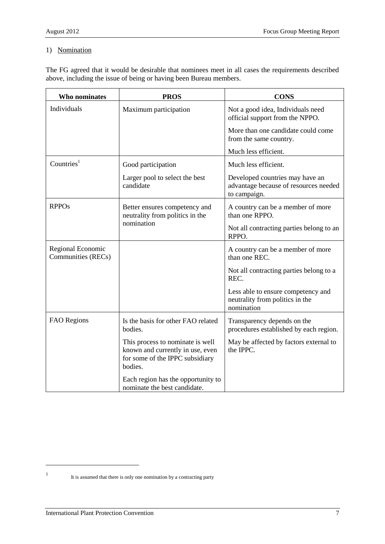### 1) Nomination

The FG agreed that it would be desirable that nominees meet in all cases the requirements described above, including the issue of being or having been Bureau members.

| Who nominates                           | <b>PROS</b>                                                                                                        | <b>CONS</b>                                                                              |
|-----------------------------------------|--------------------------------------------------------------------------------------------------------------------|------------------------------------------------------------------------------------------|
| Individuals                             | Maximum participation                                                                                              | Not a good idea, Individuals need<br>official support from the NPPO.                     |
|                                         |                                                                                                                    | More than one candidate could come<br>from the same country.                             |
|                                         |                                                                                                                    | Much less efficient.                                                                     |
| Countries $1$                           | Good participation                                                                                                 | Much less efficient.                                                                     |
|                                         | Larger pool to select the best<br>candidate                                                                        | Developed countries may have an<br>advantage because of resources needed<br>to campaign. |
| <b>RPPOs</b>                            | Better ensures competency and<br>neutrality from politics in the                                                   | A country can be a member of more<br>than one RPPO.                                      |
|                                         | nomination                                                                                                         | Not all contracting parties belong to an<br>RPPO.                                        |
| Regional Economic<br>Communities (RECs) |                                                                                                                    | A country can be a member of more<br>than one REC.                                       |
|                                         |                                                                                                                    | Not all contracting parties belong to a<br>REC.                                          |
|                                         |                                                                                                                    | Less able to ensure competency and<br>neutrality from politics in the<br>nomination      |
| <b>FAO</b> Regions                      | Is the basis for other FAO related<br>bodies.                                                                      | Transparency depends on the<br>procedures established by each region.                    |
|                                         | This process to nominate is well<br>known and currently in use, even<br>for some of the IPPC subsidiary<br>bodies. | May be affected by factors external to<br>the IPPC.                                      |
|                                         | Each region has the opportunity to<br>nominate the best candidate.                                                 |                                                                                          |

l 1

It is assumed that there is only one nomination by a contracting party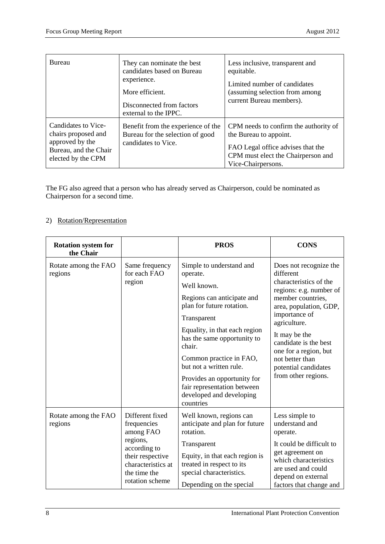| Bureau                                                                                                       | They can nominate the best<br>candidates based on Bureau<br>experience.<br>More efficient.<br>Disconnected from factors<br>external to the IPPC. | Less inclusive, transparent and<br>equitable.<br>Limited number of candidates<br>(assuming selection from among<br>current Bureau members).                      |
|--------------------------------------------------------------------------------------------------------------|--------------------------------------------------------------------------------------------------------------------------------------------------|------------------------------------------------------------------------------------------------------------------------------------------------------------------|
| Candidates to Vice-<br>chairs proposed and<br>approved by the<br>Bureau, and the Chair<br>elected by the CPM | Benefit from the experience of the<br>Bureau for the selection of good<br>candidates to Vice.                                                    | CPM needs to confirm the authority of<br>the Bureau to appoint.<br>FAO Legal office advises that the<br>CPM must elect the Chairperson and<br>Vice-Chairpersons. |

The FG also agreed that a person who has already served as Chairperson, could be nominated as Chairperson for a second time.

## 2) Rotation/Representation

| <b>Rotation system for</b><br>the Chair |                                                                                                                                                      | <b>PROS</b>                                                                                                                                                                                                                                                                                                                                                          | <b>CONS</b>                                                                                                                                                                                                                                                                                                   |  |
|-----------------------------------------|------------------------------------------------------------------------------------------------------------------------------------------------------|----------------------------------------------------------------------------------------------------------------------------------------------------------------------------------------------------------------------------------------------------------------------------------------------------------------------------------------------------------------------|---------------------------------------------------------------------------------------------------------------------------------------------------------------------------------------------------------------------------------------------------------------------------------------------------------------|--|
| Rotate among the FAO<br>regions         | Same frequency<br>for each FAO<br>region                                                                                                             | Simple to understand and<br>operate.<br>Well known.<br>Regions can anticipate and<br>plan for future rotation.<br>Transparent<br>Equality, in that each region<br>has the same opportunity to<br>chair.<br>Common practice in FAO,<br>but not a written rule.<br>Provides an opportunity for<br>fair representation between<br>developed and developing<br>countries | Does not recognize the<br>different<br>characteristics of the<br>regions: e.g. number of<br>member countries,<br>area, population, GDP,<br>importance of<br>agriculture.<br>It may be the<br>candidate is the best<br>one for a region, but<br>not better than<br>potential candidates<br>from other regions. |  |
| Rotate among the FAO<br>regions         | Different fixed<br>frequencies<br>among FAO<br>regions,<br>according to<br>their respective<br>characteristics at<br>the time the<br>rotation scheme | Well known, regions can<br>anticipate and plan for future<br>rotation.<br>Transparent<br>Equity, in that each region is<br>treated in respect to its<br>special characteristics.<br>Depending on the special                                                                                                                                                         | Less simple to<br>understand and<br>operate.<br>It could be difficult to<br>get agreement on<br>which characteristics<br>are used and could<br>depend on external<br>factors that change and                                                                                                                  |  |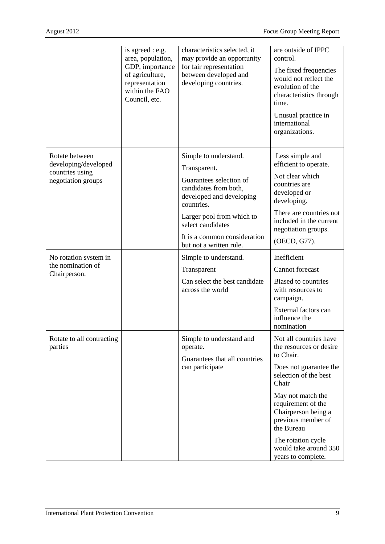|                                                                                 | is agreed : e.g.<br>area, population,<br>GDP, importance<br>of agriculture,<br>representation<br>within the FAO<br>Council, etc. | characteristics selected, it<br>may provide an opportunity<br>for fair representation<br>between developed and<br>developing countries.                                                                                                          | are outside of IPPC<br>control.<br>The fixed frequencies<br>would not reflect the<br>evolution of the<br>characteristics through<br>time.<br>Unusual practice in<br>international<br>organizations.                                                                                                   |
|---------------------------------------------------------------------------------|----------------------------------------------------------------------------------------------------------------------------------|--------------------------------------------------------------------------------------------------------------------------------------------------------------------------------------------------------------------------------------------------|-------------------------------------------------------------------------------------------------------------------------------------------------------------------------------------------------------------------------------------------------------------------------------------------------------|
| Rotate between<br>developing/developed<br>countries using<br>negotiation groups |                                                                                                                                  | Simple to understand.<br>Transparent.<br>Guarantees selection of<br>candidates from both,<br>developed and developing<br>countries.<br>Larger pool from which to<br>select candidates<br>It is a common consideration<br>but not a written rule. | Less simple and<br>efficient to operate.<br>Not clear which<br>countries are<br>developed or<br>developing.<br>There are countries not<br>included in the current<br>negotiation groups.<br>(OECD, G77).                                                                                              |
| No rotation system in<br>the nomination of<br>Chairperson.                      |                                                                                                                                  | Simple to understand.<br>Transparent<br>Can select the best candidate<br>across the world                                                                                                                                                        | Inefficient<br>Cannot forecast<br><b>Biased to countries</b><br>with resources to<br>campaign.<br>External factors can<br>influence the<br>nomination                                                                                                                                                 |
| Rotate to all contracting<br>parties                                            |                                                                                                                                  | Simple to understand and<br>operate.<br>Guarantees that all countries<br>can participate                                                                                                                                                         | Not all countries have<br>the resources or desire<br>to Chair.<br>Does not guarantee the<br>selection of the best<br>Chair<br>May not match the<br>requirement of the<br>Chairperson being a<br>previous member of<br>the Bureau<br>The rotation cycle<br>would take around 350<br>years to complete. |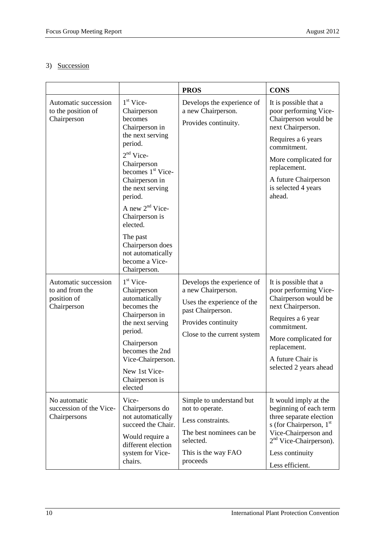## 3) Succession

|                                                                       |                                                                                                                                                                                                                                                                                                                                                  | <b>PROS</b>                                                                                                                                               | <b>CONS</b>                                                                                                                                                                                                                       |
|-----------------------------------------------------------------------|--------------------------------------------------------------------------------------------------------------------------------------------------------------------------------------------------------------------------------------------------------------------------------------------------------------------------------------------------|-----------------------------------------------------------------------------------------------------------------------------------------------------------|-----------------------------------------------------------------------------------------------------------------------------------------------------------------------------------------------------------------------------------|
| Automatic succession<br>to the position of<br>Chairperson             | $1st$ Vice-<br>Chairperson<br>becomes<br>Chairperson in<br>the next serving<br>period.<br>$2nd$ Vice-<br>Chairperson<br>becomes 1 <sup>st</sup> Vice-<br>Chairperson in<br>the next serving<br>period.<br>A new $2nd$ Vice-<br>Chairperson is<br>elected.<br>The past<br>Chairperson does<br>not automatically<br>become a Vice-<br>Chairperson. | Develops the experience of<br>a new Chairperson.<br>Provides continuity.                                                                                  | It is possible that a<br>poor performing Vice-<br>Chairperson would be<br>next Chairperson.<br>Requires a 6 years<br>commitment.<br>More complicated for<br>replacement.<br>A future Chairperson<br>is selected 4 years<br>ahead. |
| Automatic succession<br>to and from the<br>position of<br>Chairperson | $1st$ Vice-<br>Chairperson<br>automatically<br>becomes the<br>Chairperson in<br>the next serving<br>period.<br>Chairperson<br>becomes the 2nd<br>Vice-Chairperson.<br>New 1st Vice-<br>Chairperson is<br>elected                                                                                                                                 | Develops the experience of<br>a new Chairperson.<br>Uses the experience of the<br>past Chairperson.<br>Provides continuity<br>Close to the current system | It is possible that a<br>poor performing Vice-<br>Chairperson would be<br>next Chairperson.<br>Requires a 6 year<br>commitment.<br>More complicated for<br>replacement.<br>A future Chair is<br>selected 2 years ahead            |
| No automatic<br>succession of the Vice-<br>Chairpersons               | Vice-<br>Chairpersons do<br>not automatically<br>succeed the Chair.<br>Would require a<br>different election<br>system for Vice-<br>chairs.                                                                                                                                                                                                      | Simple to understand but<br>not to operate.<br>Less constraints.<br>The best nominees can be.<br>selected.<br>This is the way FAO<br>proceeds             | It would imply at the<br>beginning of each term<br>three separate election<br>s (for Chairperson, $1st$<br>Vice-Chairperson and<br>2 <sup>nd</sup> Vice-Chairperson).<br>Less continuity<br>Less efficient.                       |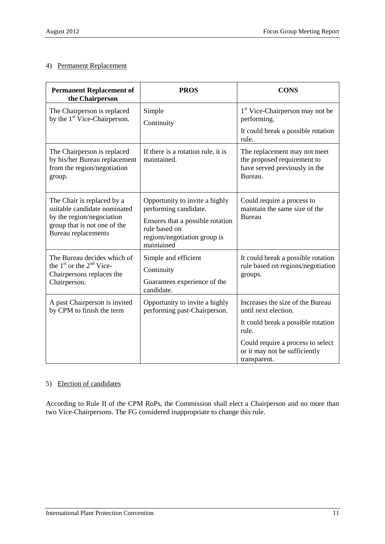#### 4) Permanent Replacement

| <b>Permanent Replacement of</b><br>the Chairperson                                                                                                    | <b>PROS</b>                                                                                                                                                | <b>CONS</b>                                                                                               |
|-------------------------------------------------------------------------------------------------------------------------------------------------------|------------------------------------------------------------------------------------------------------------------------------------------------------------|-----------------------------------------------------------------------------------------------------------|
| The Chairperson is replaced<br>by the 1 <sup>st</sup> Vice-Chairperson.                                                                               | Simple<br>Continuity                                                                                                                                       | 1 <sup>st</sup> Vice-Chairperson may not be<br>performing.<br>It could break a possible rotation<br>rule. |
| The Chairperson is replaced<br>by his/her Bureau replacement<br>from the region/negotiation<br>group.                                                 | If there is a rotation rule, it is<br>maintained.                                                                                                          | The replacement may not meet<br>the proposed requirement to<br>have served previously in the<br>Bureau.   |
| The Chair is replaced by a<br>suitable candidate nominated<br>by the region/negociation<br>group that is not one of the<br><b>Bureau</b> replacements | Opportunity to invite a highly<br>performing candidate.<br>Ensures that a possible rotation<br>rule based on<br>regions/negotiation group is<br>maintained | Could require a process to<br>maintain the same size of the<br><b>Bureau</b>                              |
| The Bureau decides which of<br>the $1st$ or the $2nd$ Vice-<br>Chairpersons replaces the<br>Chairperson.                                              | Simple and efficient<br>Continuity<br>Guarantees experience of the<br>candidate.                                                                           | It could break a possible rotation<br>rule based on regions/negotiation<br>groups.                        |
| A past Chairperson is invited<br>by CPM to finish the term                                                                                            | Opportunity to invite a highly<br>performing past-Chairperson.                                                                                             | Increases the size of the Bureau<br>until next election.<br>It could break a possible rotation            |
|                                                                                                                                                       |                                                                                                                                                            | rule.<br>Could require a process to select<br>or it may not be sufficiently<br>transparent.               |

## 5) Election of candidates

According to Rule II of the CPM RoPs, the Commission shall elect a Chairperson and no more than two Vice-Chairpersons. The FG considered inappropriate to change this rule.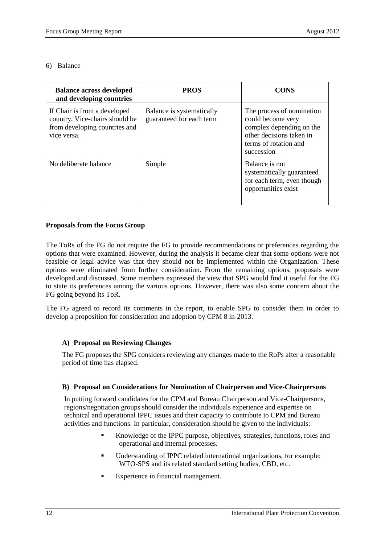#### 6) Balance

| <b>Balance across developed</b><br>and developing countries                                                    | <b>PROS</b>                                           | <b>CONS</b>                                                                                                                                   |
|----------------------------------------------------------------------------------------------------------------|-------------------------------------------------------|-----------------------------------------------------------------------------------------------------------------------------------------------|
| If Chair is from a developed<br>country, Vice-chairs should be<br>from developing countries and<br>vice versa. | Balance is systematically<br>guaranteed for each term | The process of nomination<br>could become very<br>complex depending on the<br>other decisions taken in<br>terms of rotation and<br>succession |
| No deliberate balance                                                                                          | Simple                                                | Balance is not<br>systematically guaranteed<br>for each term, even though<br>opportunities exist                                              |

#### <span id="page-11-0"></span>**Proposals from the Focus Group**

The ToRs of the FG do not require the FG to provide recommendations or preferences regarding the options that were examined. However, during the analysis it became clear that some options were not feasible or legal advice was that they should not be implemented within the Organization. These options were eliminated from further consideration. From the remaining options, proposals were developed and discussed. Some members expressed the view that SPG would find it useful for the FG to state its preferences among the various options. However, there was also some concern about the FG going beyond its ToR.

The FG agreed to record its comments in the report, to enable SPG to consider them in order to develop a proposition for consideration and adoption by CPM 8 in-2013.

#### **A) Proposal on Reviewing Changes**

The FG proposes the SPG considers reviewing any changes made to the RoPs after a reasonable period of time has elapsed.

#### **B) Proposal on Considerations for Nomination of Chairperson and Vice-Chairpersons**

In putting forward candidates for the CPM and Bureau Chairperson and Vice-Chairpersons, regions/negotiation groups should consider the individuals experience and expertise on technical and operational IPPC issues and their capacity to contribute to CPM and Bureau activities and functions. In particular, consideration should be given to the individuals:

- Knowledge of the IPPC purpose, objectives, strategies, functions, roles and operational and internal processes.
- Understanding of IPPC related international organizations, for example: WTO-SPS and its related standard setting bodies, CBD, etc.
- Experience in financial management.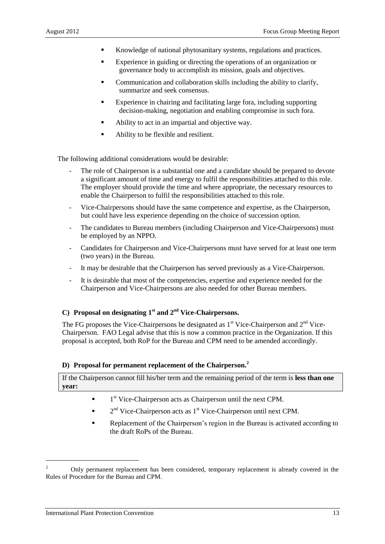- Knowledge of national phytosanitary systems, regulations and practices.
- Experience in guiding or directing the operations of an organization or governance body to accomplish its mission, goals and objectives.
- Communication and collaboration skills including the ability to clarify, summarize and seek consensus.
- Experience in chairing and facilitating large fora, including supporting decision-making, negotiation and enabling compromise in such fora.
- Ability to act in an impartial and objective way.
- Ability to be flexible and resilient.

The following additional considerations would be desirable:

- The role of Chairperson is a substantial one and a candidate should be prepared to devote a significant amount of time and energy to fulfil the responsibilities attached to this role. The employer should provide the time and where appropriate, the necessary resources to enable the Chairperson to fulfil the responsibilities attached to this role.
- Vice-Chairpersons should have the same competence and expertise, as the Chairperson, but could have less experience depending on the choice of succession option.
- The candidates to Bureau members (including Chairperson and Vice-Chairpersons) must be employed by an NPPO.
- Candidates for Chairperson and Vice-Chairpersons must have served for at least one term (two years) in the Bureau.
- It may be desirable that the Chairperson has served previously as a Vice-Chairperson.
- It is desirable that most of the competencies, expertise and experience needed for the Chairperson and Vice-Chairpersons are also needed for other Bureau members.

## **C) Proposal on designating 1st and 2nd Vice-Chairpersons.**

The FG proposes the Vice-Chairpersons be designated as  $1<sup>st</sup>$  Vice-Chairperson and  $2<sup>nd</sup>$  Vice-Chairperson. FAO Legal advise that this is now a common practice in the Organization. If this proposal is accepted, both RoP for the Bureau and CPM need to be amended accordingly.

#### **D) Proposal for permanent replacement of the Chairperson.<sup>2</sup>**

If the Chairperson cannot fill his/her term and the remaining period of the term is **less than one year:**

- **1**<sup>st</sup> Vice-Chairperson acts as Chairperson until the next CPM.
- $\blacksquare$   $2<sup>nd</sup>$  Vice-Chairperson acts as 1<sup>st</sup> Vice-Chairperson until next CPM.
- Replacement of the Chairperson's region in the Bureau is activated according to the draft RoPs of the Bureau.

l

<sup>&</sup>lt;sup>2</sup> Only permanent replacement has been considered, temporary replacement is already covered in the Rules of Procedure for the Bureau and CPM.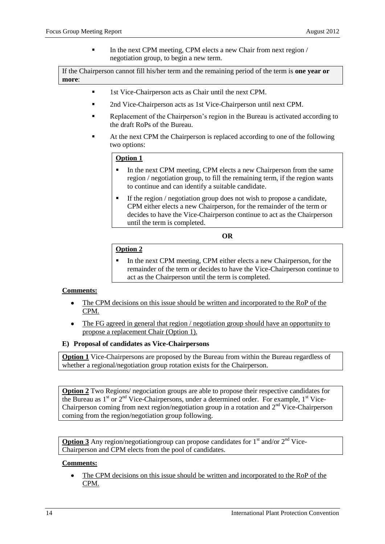In the next CPM meeting, CPM elects a new Chair from next region / negotiation group, to begin a new term.

If the Chairperson cannot fill his/her term and the remaining period of the term is **one year or more**:

- **1st Vice-Chairperson acts as Chair until the next CPM.**
- 2nd Vice-Chairperson acts as 1st Vice-Chairperson until next CPM.
- Replacement of the Chairperson's region in the Bureau is activated according to the draft RoPs of the Bureau.
- At the next CPM the Chairperson is replaced according to one of the following two options:

#### **Option 1**

- In the next CPM meeting, CPM elects a new Chairperson from the same region / negotiation group, to fill the remaining term, if the region wants to continue and can identify a suitable candidate.
- If the region / negotiation group does not wish to propose a candidate, CPM either elects a new Chairperson, for the remainder of the term or decides to have the Vice-Chairperson continue to act as the Chairperson until the term is completed.

**OR**

#### **Option 2**

 In the next CPM meeting, CPM either elects a new Chairperson, for the remainder of the term or decides to have the Vice-Chairperson continue to act as the Chairperson until the term is completed.

#### **Comments:**

- The CPM decisions on this issue should be written and incorporated to the RoP of the CPM.
- The FG agreed in general that region / negotiation group should have an opportunity to  $\bullet$ propose a replacement Chair (Option 1).

#### **E) Proposal of candidates as Vice-Chairpersons**

**Option 1** Vice-Chairpersons are proposed by the Bureau from within the Bureau regardless of whether a regional/negotiation group rotation exists for the Chairperson.

**Option 2** Two Regions/ negociation groups are able to propose their respective candidates for the Bureau as  $1<sup>st</sup>$  or  $2<sup>nd</sup>$  Vice-Chairpersons, under a determined order. For example,  $1<sup>st</sup>$  Vice-Chairperson coming from next region/negotiation group in a rotation and  $2<sup>nd</sup>$  Vice-Chairperson coming from the region/negotiation group following.

**Option 3** Any region/negotiationgroup can propose candidates for  $1<sup>st</sup>$  and/or  $2<sup>nd</sup>$  Vice-Chairperson and CPM elects from the pool of candidates.

#### **Comments:**

The CPM decisions on this issue should be written and incorporated to the RoP of the CPM.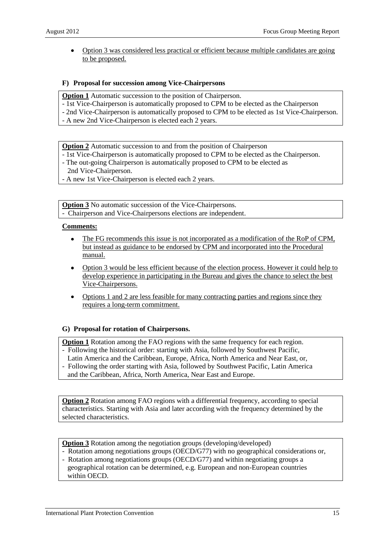Option 3 was considered less practical or efficient because multiple candidates are going to be proposed.

#### **F) Proposal for succession among Vice-Chairpersons**

**Option 1** Automatic succession to the position of Chairperson.

- 1st Vice-Chairperson is automatically proposed to CPM to be elected as the Chairperson
- 2nd Vice-Chairperson is automatically proposed to CPM to be elected as 1st Vice-Chairperson.
- A new 2nd Vice-Chairperson is elected each 2 years.

**Option 2** Automatic succession to and from the position of Chairperson

- 1st Vice-Chairperson is automatically proposed to CPM to be elected as the Chairperson.
- The out-going Chairperson is automatically proposed to CPM to be elected as
- 2nd Vice-Chairperson.
- A new 1st Vice-Chairperson is elected each 2 years.

**Option 3** No automatic succession of the Vice-Chairpersons. - Chairperson and Vice-Chairpersons elections are independent.

#### **Comments:**

- The FG recommends this issue is not incorporated as a modification of the RoP of CPM, but instead as guidance to be endorsed by CPM and incorporated into the Procedural manual.
- Option 3 would be less efficient because of the election process. However it could help to develop experience in participating in the Bureau and gives the chance to select the best Vice-Chairpersons.
- Options 1 and 2 are less feasible for many contracting parties and regions since they requires a long-term commitment.

#### **G) Proposal for rotation of Chairpersons.**

**Option 1** Rotation among the FAO regions with the same frequency for each region.

- Following the historical order: starting with Asia, followed by Southwest Pacific,

Latin America and the Caribbean, Europe, Africa, North America and Near East, or,

- Following the order starting with Asia, followed by Southwest Pacific, Latin America

and the Caribbean, Africa, North America, Near East and Europe.

**Option 2** Rotation among FAO regions with a differential frequency, according to special characteristics. Starting with Asia and later according with the frequency determined by the selected characteristics.

**Option 3** Rotation among the negotiation groups (developing/developed)

- Rotation among negotiations groups (OECD/G77) with no geographical considerations or,
- Rotation among negotiations groups (OECD/G77) and within negotiating groups a geographical rotation can be determined, e.g. European and non-European countries within OECD.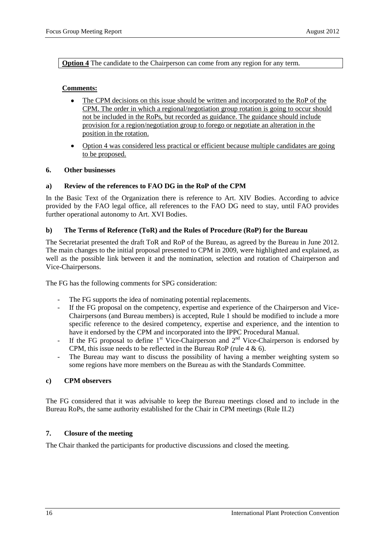**Option 4** The candidate to the Chairperson can come from any region for any term.

#### **Comments:**

- The CPM decisions on this issue should be written and incorporated to the RoP of the  $\bullet$ CPM. The order in which a regional/negotiation group rotation is going to occur should not be included in the RoPs, but recorded as guidance. The guidance should include provision for a region/negotiation group to forego or negotiate an alteration in the position in the rotation.
- Option 4 was considered less practical or efficient because multiple candidates are going to be proposed.

#### <span id="page-15-0"></span>**6. Other businesses**

#### <span id="page-15-1"></span>**a) Review of the references to FAO DG in the RoP of the CPM**

In the Basic Text of the Organization there is reference to Art. XIV Bodies. According to advice provided by the FAO legal office, all references to the FAO DG need to stay, until FAO provides further operational autonomy to Art. XVI Bodies.

#### <span id="page-15-2"></span>**b) The Terms of Reference (ToR) and the Rules of Procedure (RoP) for the Bureau**

The Secretariat presented the draft ToR and RoP of the Bureau, as agreed by the Bureau in June 2012. The main changes to the initial proposal presented to CPM in 2009, were highlighted and explained, as well as the possible link between it and the nomination, selection and rotation of Chairperson and Vice-Chairpersons.

The FG has the following comments for SPG consideration:

- The FG supports the idea of nominating potential replacements.
- If the FG proposal on the competency, expertise and experience of the Chairperson and Vice-Chairpersons (and Bureau members) is accepted, Rule 1 should be modified to include a more specific reference to the desired competency, expertise and experience, and the intention to have it endorsed by the CPM and incorporated into the IPPC Procedural Manual.
- If the FG proposal to define  $1<sup>st</sup>$  Vice-Chairperson and  $2<sup>nd</sup>$  Vice-Chairperson is endorsed by CPM, this issue needs to be reflected in the Bureau RoP (rule 4 & 6).
- The Bureau may want to discuss the possibility of having a member weighting system so some regions have more members on the Bureau as with the Standards Committee.

#### <span id="page-15-3"></span>**c) CPM observers**

The FG considered that it was advisable to keep the Bureau meetings closed and to include in the Bureau RoPs, the same authority established for the Chair in CPM meetings (Rule II.2)

#### <span id="page-15-4"></span>**7. Closure of the meeting**

The Chair thanked the participants for productive discussions and closed the meeting.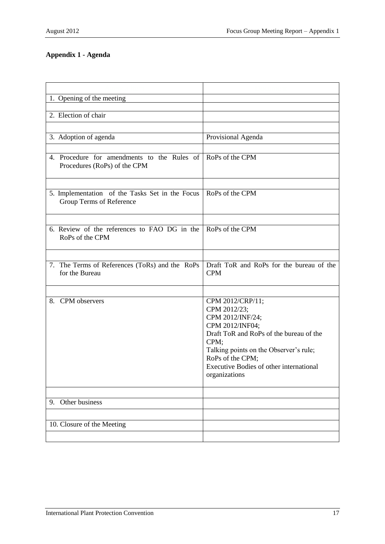## <span id="page-16-0"></span>**Appendix 1 - Agenda**

| 1. Opening of the meeting                                                   |                                                                                                                                                                                                                                                      |
|-----------------------------------------------------------------------------|------------------------------------------------------------------------------------------------------------------------------------------------------------------------------------------------------------------------------------------------------|
|                                                                             |                                                                                                                                                                                                                                                      |
| 2. Election of chair                                                        |                                                                                                                                                                                                                                                      |
|                                                                             |                                                                                                                                                                                                                                                      |
| 3. Adoption of agenda                                                       | Provisional Agenda                                                                                                                                                                                                                                   |
|                                                                             |                                                                                                                                                                                                                                                      |
| 4. Procedure for amendments to the Rules of<br>Procedures (RoPs) of the CPM | RoPs of the CPM                                                                                                                                                                                                                                      |
|                                                                             |                                                                                                                                                                                                                                                      |
| 5. Implementation of the Tasks Set in the Focus<br>Group Terms of Reference | RoPs of the CPM                                                                                                                                                                                                                                      |
|                                                                             |                                                                                                                                                                                                                                                      |
| 6. Review of the references to FAO DG in the<br>RoPs of the CPM             | RoPs of the CPM                                                                                                                                                                                                                                      |
|                                                                             |                                                                                                                                                                                                                                                      |
| 7. The Terms of References (ToRs) and the RoPs<br>for the Bureau            | Draft ToR and RoPs for the bureau of the<br><b>CPM</b>                                                                                                                                                                                               |
|                                                                             |                                                                                                                                                                                                                                                      |
| 8.<br>CPM observers                                                         | CPM 2012/CRP/11;<br>CPM 2012/23;<br>CPM 2012/INF/24;<br>CPM 2012/INF04;<br>Draft ToR and RoPs of the bureau of the<br>CPM;<br>Talking points on the Observer's rule;<br>RoPs of the CPM;<br>Executive Bodies of other international<br>organizations |
|                                                                             |                                                                                                                                                                                                                                                      |
| Other business<br>9.                                                        |                                                                                                                                                                                                                                                      |
|                                                                             |                                                                                                                                                                                                                                                      |
| 10. Closure of the Meeting                                                  |                                                                                                                                                                                                                                                      |
|                                                                             |                                                                                                                                                                                                                                                      |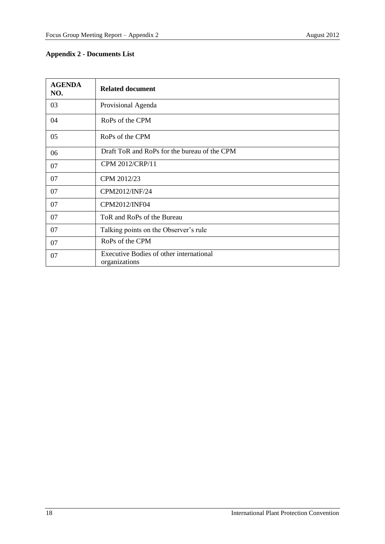## <span id="page-17-0"></span>**Appendix 2 - Documents List**

| <b>AGENDA</b><br>NO. | <b>Related document</b>                                  |
|----------------------|----------------------------------------------------------|
| 03                   | Provisional Agenda                                       |
| 04                   | RoPs of the CPM                                          |
| 05                   | RoPs of the CPM                                          |
| 06                   | Draft ToR and RoPs for the bureau of the CPM             |
| 07                   | CPM 2012/CRP/11                                          |
| 07                   | CPM 2012/23                                              |
| 07                   | CPM2012/INF/24                                           |
| 07                   | CPM2012/INF04                                            |
| 07                   | ToR and RoPs of the Bureau                               |
| 07                   | Talking points on the Observer's rule                    |
| 07                   | RoPs of the CPM                                          |
| 07                   | Executive Bodies of other international<br>organizations |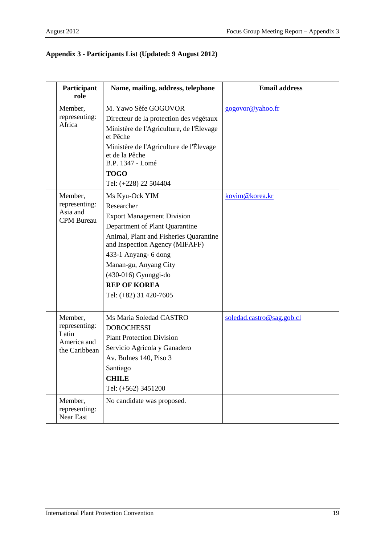## <span id="page-18-0"></span>**Appendix 3 - Participants List (Updated: 9 August 2012)**

| Participant<br>role                                               | Name, mailing, address, telephone                                                                                                                                                                                                                                                                         | <b>Email address</b>      |
|-------------------------------------------------------------------|-----------------------------------------------------------------------------------------------------------------------------------------------------------------------------------------------------------------------------------------------------------------------------------------------------------|---------------------------|
| Member,<br>representing:<br>Africa                                | M. Yawo Sèfe GOGOVOR<br>Directeur de la protection des végétaux<br>Ministère de l'Agriculture, de l'Élevage<br>et Pêche<br>Ministère de l'Agriculture de l'Élevage<br>et de la Pêche<br>B.P. 1347 - Lomé<br><b>TOGO</b><br>Tel: (+228) 22 504404                                                          | gogovor@yahoo.fr          |
| Member,<br>representing:<br>Asia and<br><b>CPM</b> Bureau         | Ms Kyu-Ock YIM<br>Researcher<br><b>Export Management Division</b><br>Department of Plant Quarantine<br>Animal, Plant and Fisheries Quarantine<br>and Inspection Agency (MIFAFF)<br>433-1 Anyang- 6 dong<br>Manan-gu, Anyang City<br>(430-016) Gyunggi-do<br><b>REP OF KOREA</b><br>Tel: (+82) 31 420-7605 | koyim@korea.kr            |
| Member,<br>representing:<br>Latin<br>America and<br>the Caribbean | Ms Maria Soledad CASTRO<br><b>DOROCHESSI</b><br><b>Plant Protection Division</b><br>Servicio Agrícola y Ganadero<br>Av. Bulnes 140, Piso 3<br>Santiago<br><b>CHILE</b><br>Tel: (+562) 3451200                                                                                                             | soledad.castro@sag.gob.cl |
| Member,<br>representing:<br>Near East                             | No candidate was proposed.                                                                                                                                                                                                                                                                                |                           |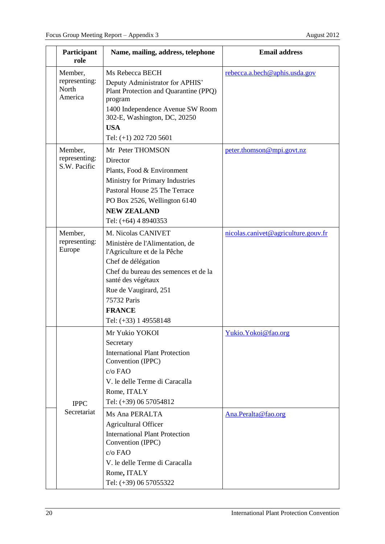| Member,<br>representing:<br>North<br>America | Ms Rebecca BECH<br>Deputy Administrator for APHIS'<br>Plant Protection and Quarantine (PPQ)<br>program<br>1400 Independence Avenue SW Room<br>302-E, Washington, DC, 20250                                                                                                                                                                                   | rebecca.a.bech@aphis.usda.gov               |
|----------------------------------------------|--------------------------------------------------------------------------------------------------------------------------------------------------------------------------------------------------------------------------------------------------------------------------------------------------------------------------------------------------------------|---------------------------------------------|
|                                              | Tel: (+1) 202 720 5601                                                                                                                                                                                                                                                                                                                                       |                                             |
| Member,<br>representing:<br>S.W. Pacific     | Mr Peter THOMSON<br>Director<br>Plants, Food & Environment<br>Ministry for Primary Industries<br>Pastoral House 25 The Terrace<br>PO Box 2526, Wellington 6140<br><b>NEW ZEALAND</b><br>Tel: (+64) 4 8940353                                                                                                                                                 | peter.thomson@mpi.govt.nz                   |
| Member,<br>representing:<br>Europe           | M. Nicolas CANIVET<br>Ministère de l'Alimentation, de<br>l'Agriculture et de la Pêche<br>Chef de délégation<br>Chef du bureau des semences et de la<br>santé des végétaux<br>Rue de Vaugirard, 251<br>75732 Paris<br><b>FRANCE</b><br>Tel: (+33) 1 49558148                                                                                                  | nicolas.canivet@agriculture.gouv.fr         |
| <b>IPPC</b><br>Secretariat                   | Mr Yukio YOKOI<br>Secretary<br><b>International Plant Protection</b><br>Convention (IPPC)<br>c/o FAO<br>V. le delle Terme di Caracalla<br>Rome, ITALY<br>Tel: (+39) 06 57054812<br>Ms Ana PERALTA<br><b>Agricultural Officer</b><br><b>International Plant Protection</b><br>Convention (IPPC)<br>$c/o$ FAO<br>V. le delle Terme di Caracalla<br>Rome, ITALY | Yukio. Yokoi@fao.org<br>Ana.Peralta@fao.org |
|                                              |                                                                                                                                                                                                                                                                                                                                                              | <b>USA</b><br>Tel: (+39) 06 57055322        |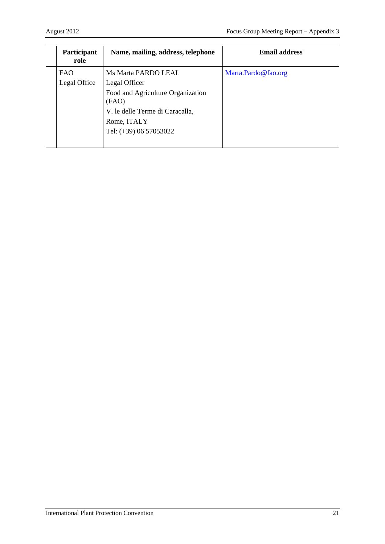| Participant<br>role        | Name, mailing, address, telephone                                                                                     | <b>Email address</b> |
|----------------------------|-----------------------------------------------------------------------------------------------------------------------|----------------------|
| <b>FAO</b><br>Legal Office | Ms Marta PARDO LEAL<br>Legal Officer<br>Food and Agriculture Organization<br>(FAO)<br>V. le delle Terme di Caracalla, | Marta.Pardo@fao.org  |
|                            | Rome, ITALY<br>Tel: (+39) 06 57053022                                                                                 |                      |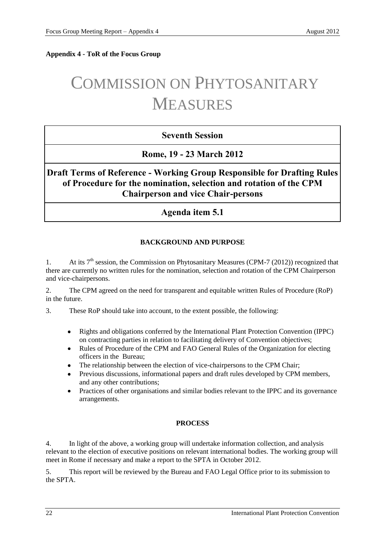<span id="page-21-0"></span>**Appendix 4 - ToR of the Focus Group**

# COMMISSION ON PHYTOSANITARY MEASURES

## **Seventh Session**

**Rome, 19 - 23 March 2012**

**Draft Terms of Reference - Working Group Responsible for Drafting Rules of Procedure for the nomination, selection and rotation of the CPM Chairperson and vice Chair-persons**

**Agenda item 5.1**

## **BACKGROUND AND PURPOSE**

1. At its  $7<sup>th</sup>$  session, the Commission on Phytosanitary Measures (CPM-7 (2012)) recognized that there are currently no written rules for the nomination, selection and rotation of the CPM Chairperson and vice-chairpersons.

2. The CPM agreed on the need for transparent and equitable written Rules of Procedure (RoP) in the future.

3. These RoP should take into account, to the extent possible, the following:

- Rights and obligations conferred by the International Plant Protection Convention (IPPC) on contracting parties in relation to facilitating delivery of Convention objectives;
- Rules of Procedure of the CPM and FAO General Rules of the Organization for electing officers in the Bureau;
- The relationship between the election of vice-chairpersons to the CPM Chair;
- Previous discussions, informational papers and draft rules developed by CPM members, and any other contributions;
- Practices of other organisations and similar bodies relevant to the IPPC and its governance arrangements.

## **PROCESS**

4. In light of the above, a working group will undertake information collection, and analysis relevant to the election of executive positions on relevant international bodies. The working group will meet in Rome if necessary and make a report to the SPTA in October 2012.

5. This report will be reviewed by the Bureau and FAO Legal Office prior to its submission to the SPTA.